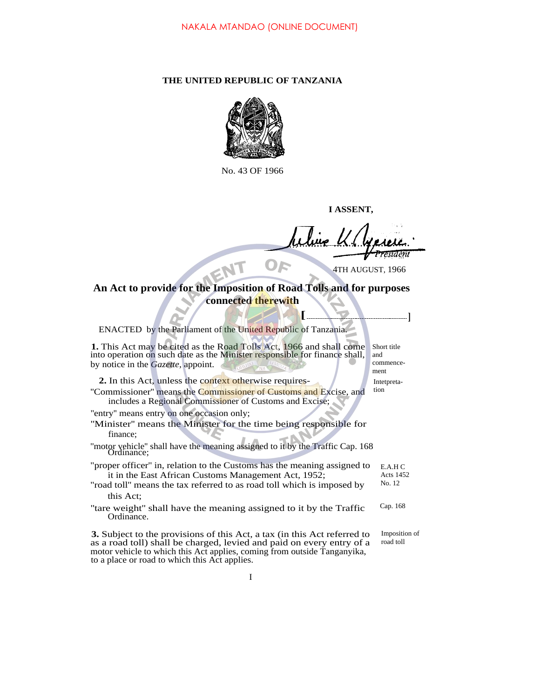## **THE UNITED REPUBLIC OF TANZANIA**



No. 43 OF 1966

**I ASSENT,**

esīdent OF

4TH AUGUST, 1966

## **An Act to provide for the Imposition of Road Tolls and for purposes connected therewith**

| ENACTED by the Parliament of the United Republic of Tanzania.                                                                                                                                                                                                                         |                                         |
|---------------------------------------------------------------------------------------------------------------------------------------------------------------------------------------------------------------------------------------------------------------------------------------|-----------------------------------------|
| 1. This Act may be cited as the Road Tolls Act, 1966 and shall come<br>into operation on such date as the Minister responsible for finance shall,<br>by notice in the <i>Gazette</i> , appoint.                                                                                       | Short title<br>and<br>commence-<br>ment |
| 2. In this Act, unless the context otherwise requires-<br>"Commissioner" means the Commissioner of Customs and Excise, and<br>includes a Regional Commissioner of Customs and Excise;                                                                                                 | Interpreta-<br>tion                     |
| "entry" means entry on one occasion only;<br>"Minister" means the Minister for the time being responsible for<br>finance:<br>"motor vehicle" shall have the meaning assigned to it by the Traffic Cap. 168<br>Ordinance:                                                              |                                         |
| "proper officer" in, relation to the Customs has the meaning assigned to<br>it in the East African Customs Management Act, 1952;<br>"road toll" means the tax referred to as road toll which is imposed by<br>this Act:                                                               | E.A.H C<br>Acts 1452<br>No. 12          |
| "tare weight" shall have the meaning assigned to it by the Traffic<br>Ordinance.                                                                                                                                                                                                      | Cap. 168                                |
| <b>3.</b> Subject to the provisions of this Act, a tax (in this Act referred to<br>as a road toll) shall be charged, levied and paid on every entry of a<br>motor vehicle to which this Act applies, coming from outside Tanganyika,<br>to a place or road to which this Act applies. | Imposition of<br>road toll              |

I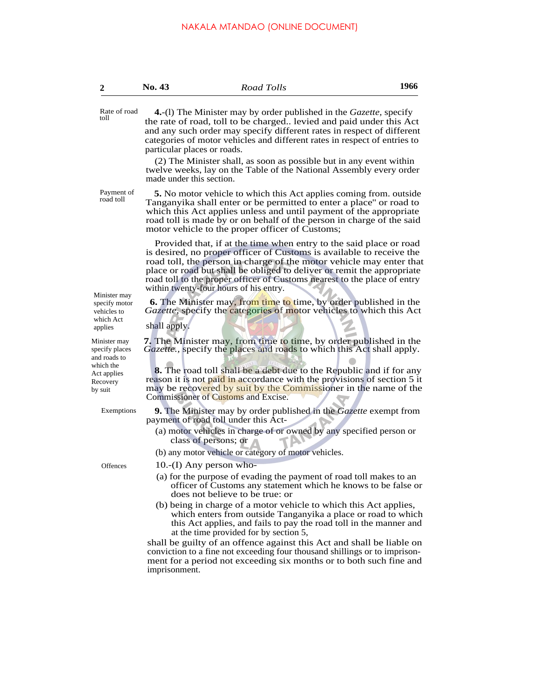| 4.-(1) The Minister may by order published in the <i>Gazette</i> , specify<br>the rate of road, toll to be charged levied and paid under this Act<br>and any such order may specify different rates in respect of different<br>categories of motor vehicles and different rates in respect of entries to<br>particular places or roads.<br>(2) The Minister shall, as soon as possible but in any event within<br>twelve weeks, lay on the Table of the National Assembly every order<br>made under this section.<br><b>5.</b> No motor vehicle to which this Act applies coming from. outside<br>Tanganyika shall enter or be permitted to enter a place" or road to<br>which this Act applies unless and until payment of the appropriate<br>road toll is made by or on behalf of the person in charge of the said<br>motor vehicle to the proper officer of Customs;<br>Provided that, if at the time when entry to the said place or road<br>is desired, no proper officer of Customs is available to receive the<br>road toll, the person in charge of the motor vehicle may enter that<br>place or road but shall be obliged to deliver or remit the appropriate<br>road toll to the proper officer of Customs nearest to the place of entry<br>within twenty-four hours of his entry.<br><b>6.</b> The Minister may, from time to time, by order published in the<br>Gazette, specify the categories of motor vehicles to which this Act<br>shall apply.<br>Gazette., specify the places and roads to which this Act shall apply. |
|------------------------------------------------------------------------------------------------------------------------------------------------------------------------------------------------------------------------------------------------------------------------------------------------------------------------------------------------------------------------------------------------------------------------------------------------------------------------------------------------------------------------------------------------------------------------------------------------------------------------------------------------------------------------------------------------------------------------------------------------------------------------------------------------------------------------------------------------------------------------------------------------------------------------------------------------------------------------------------------------------------------------------------------------------------------------------------------------------------------------------------------------------------------------------------------------------------------------------------------------------------------------------------------------------------------------------------------------------------------------------------------------------------------------------------------------------------------------------------------------------------------------------------------|
|                                                                                                                                                                                                                                                                                                                                                                                                                                                                                                                                                                                                                                                                                                                                                                                                                                                                                                                                                                                                                                                                                                                                                                                                                                                                                                                                                                                                                                                                                                                                          |
|                                                                                                                                                                                                                                                                                                                                                                                                                                                                                                                                                                                                                                                                                                                                                                                                                                                                                                                                                                                                                                                                                                                                                                                                                                                                                                                                                                                                                                                                                                                                          |
|                                                                                                                                                                                                                                                                                                                                                                                                                                                                                                                                                                                                                                                                                                                                                                                                                                                                                                                                                                                                                                                                                                                                                                                                                                                                                                                                                                                                                                                                                                                                          |
|                                                                                                                                                                                                                                                                                                                                                                                                                                                                                                                                                                                                                                                                                                                                                                                                                                                                                                                                                                                                                                                                                                                                                                                                                                                                                                                                                                                                                                                                                                                                          |
|                                                                                                                                                                                                                                                                                                                                                                                                                                                                                                                                                                                                                                                                                                                                                                                                                                                                                                                                                                                                                                                                                                                                                                                                                                                                                                                                                                                                                                                                                                                                          |
| <b>7.</b> The Minister may, from time to time, by order published in the<br><b>8.</b> The road toll shall be a debt due to the Republic and if for any<br>reason it is not paid in accordance with the provisions of section 5 it                                                                                                                                                                                                                                                                                                                                                                                                                                                                                                                                                                                                                                                                                                                                                                                                                                                                                                                                                                                                                                                                                                                                                                                                                                                                                                        |
|                                                                                                                                                                                                                                                                                                                                                                                                                                                                                                                                                                                                                                                                                                                                                                                                                                                                                                                                                                                                                                                                                                                                                                                                                                                                                                                                                                                                                                                                                                                                          |
| may be recovered by suit by the Commissioner in the name of the<br>Commissioner of Customs and Excise.                                                                                                                                                                                                                                                                                                                                                                                                                                                                                                                                                                                                                                                                                                                                                                                                                                                                                                                                                                                                                                                                                                                                                                                                                                                                                                                                                                                                                                   |
| 9. The Minister may by order published in the Gazette exempt from<br>payment of road toll under this Act-                                                                                                                                                                                                                                                                                                                                                                                                                                                                                                                                                                                                                                                                                                                                                                                                                                                                                                                                                                                                                                                                                                                                                                                                                                                                                                                                                                                                                                |
| (a) motor vehicles in charge of or owned by any specified person or<br>class of persons; or                                                                                                                                                                                                                                                                                                                                                                                                                                                                                                                                                                                                                                                                                                                                                                                                                                                                                                                                                                                                                                                                                                                                                                                                                                                                                                                                                                                                                                              |
| (b) any motor vehicle or category of motor vehicles.                                                                                                                                                                                                                                                                                                                                                                                                                                                                                                                                                                                                                                                                                                                                                                                                                                                                                                                                                                                                                                                                                                                                                                                                                                                                                                                                                                                                                                                                                     |
| 10.-(I) Any person who-                                                                                                                                                                                                                                                                                                                                                                                                                                                                                                                                                                                                                                                                                                                                                                                                                                                                                                                                                                                                                                                                                                                                                                                                                                                                                                                                                                                                                                                                                                                  |
| (a) for the purpose of evading the payment of road toll makes to an<br>officer of Customs any statement which he knows to be false or<br>does not believe to be true: or                                                                                                                                                                                                                                                                                                                                                                                                                                                                                                                                                                                                                                                                                                                                                                                                                                                                                                                                                                                                                                                                                                                                                                                                                                                                                                                                                                 |
| (b) being in charge of a motor vehicle to which this Act applies,<br>which enters from outside Tanganyika a place or road to which<br>this Act applies, and fails to pay the road toll in the manner and<br>at the time provided for by section 5,                                                                                                                                                                                                                                                                                                                                                                                                                                                                                                                                                                                                                                                                                                                                                                                                                                                                                                                                                                                                                                                                                                                                                                                                                                                                                       |
| shall be guilty of an offence against this Act and shall be liable on<br>conviction to a fine not exceeding four thousand shillings or to imprison-<br>ment for a period not exceeding six months or to both such fine and<br>imprisonment.                                                                                                                                                                                                                                                                                                                                                                                                                                                                                                                                                                                                                                                                                                                                                                                                                                                                                                                                                                                                                                                                                                                                                                                                                                                                                              |
|                                                                                                                                                                                                                                                                                                                                                                                                                                                                                                                                                                                                                                                                                                                                                                                                                                                                                                                                                                                                                                                                                                                                                                                                                                                                                                                                                                                                                                                                                                                                          |